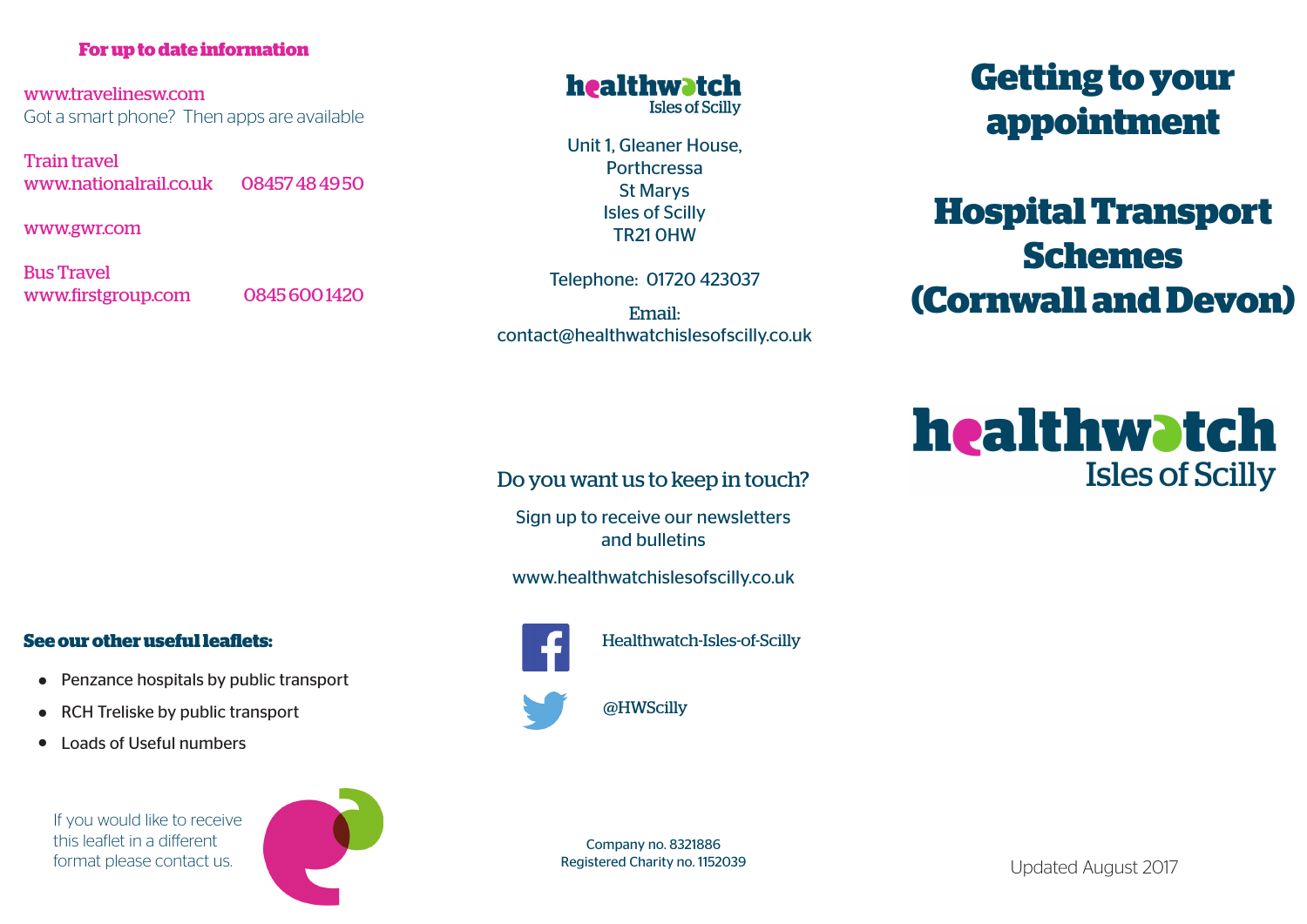#### **For up to date information**

www.travelinesw.com Got a smart phone? Then apps are available

Train travel www.nationalrail.co.uk 08457 48 49 50

www.gwr.com

Bus Travel www.firstgroup.com 0845 600 1420

### healthwatch **Isles of Scilly**

Unit 1, Gleaner House, Porthcressa St Marys Isles of Scilly TR21 0HW

Telephone: 01720 423037

Email: contact@healthwatchislesofscilly.co.uk

# **Getting to your appointment**

# **Hospital Transport Schemes (Cornwall and Devon)**

# healthwatch **Isles of Scilly**

## Do you want us to keep in touch?

Sign up to receive our newsletters and bulletins

www.healthwatchislesofscilly.co.uk



Healthwatch-Isles-of-Scilly

@HWScilly

• RCH Treliske by public transport

**See our other useful leaflets:**

• Penzance hospitals by public transport

• Loads of Useful numbers

If you would like to receive this leaflet in a different format please contact us.



Updated August 2017